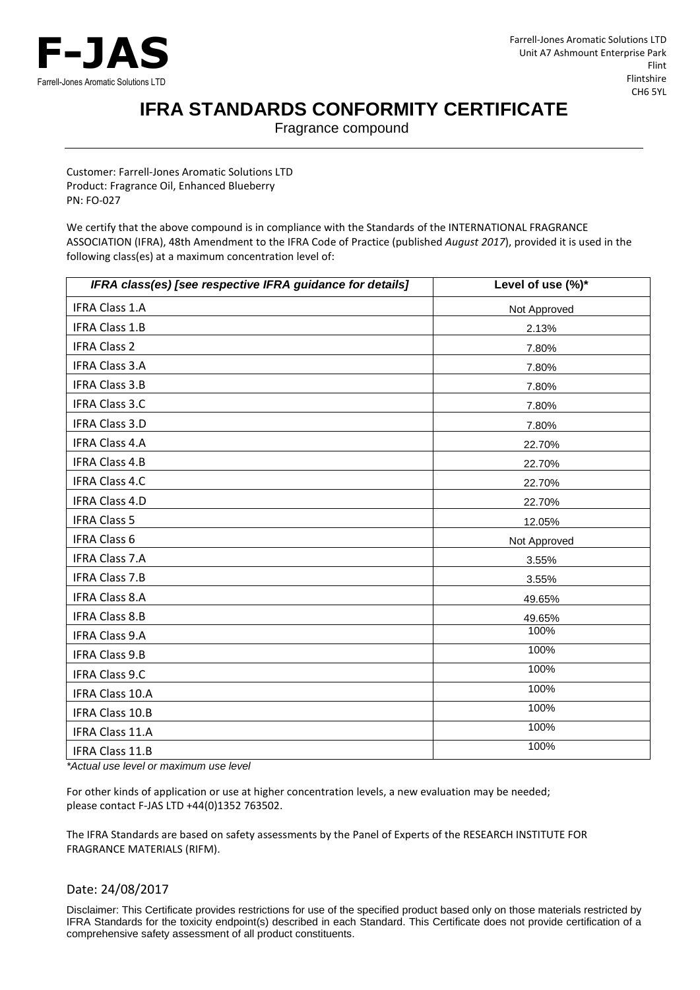

## **IFRA STANDARDS CONFORMITY CERTIFICATE**

Fragrance compound

Customer: Farrell-Jones Aromatic Solutions LTD Product: Fragrance Oil, Enhanced Blueberry PN: FO-027

We certify that the above compound is in compliance with the Standards of the INTERNATIONAL FRAGRANCE ASSOCIATION (IFRA), 48th Amendment to the IFRA Code of Practice (published *August 2017*), provided it is used in the following class(es) at a maximum concentration level of:

| IFRA class(es) [see respective IFRA guidance for details] | Level of use (%)* |
|-----------------------------------------------------------|-------------------|
| <b>IFRA Class 1.A</b>                                     | Not Approved      |
| <b>IFRA Class 1.B</b>                                     | 2.13%             |
| <b>IFRA Class 2</b>                                       | 7.80%             |
| <b>IFRA Class 3.A</b>                                     | 7.80%             |
| <b>IFRA Class 3.B</b>                                     | 7.80%             |
| <b>IFRA Class 3.C</b>                                     | 7.80%             |
| <b>IFRA Class 3.D</b>                                     | 7.80%             |
| <b>IFRA Class 4.A</b>                                     | 22.70%            |
| <b>IFRA Class 4.B</b>                                     | 22.70%            |
| <b>IFRA Class 4.C</b>                                     | 22.70%            |
| <b>IFRA Class 4.D</b>                                     | 22.70%            |
| <b>IFRA Class 5</b>                                       | 12.05%            |
| <b>IFRA Class 6</b>                                       | Not Approved      |
| <b>IFRA Class 7.A</b>                                     | 3.55%             |
| <b>IFRA Class 7.B</b>                                     | 3.55%             |
| <b>IFRA Class 8.A</b>                                     | 49.65%            |
| <b>IFRA Class 8.B</b>                                     | 49.65%            |
| <b>IFRA Class 9.A</b>                                     | 100%              |
| <b>IFRA Class 9.B</b>                                     | 100%              |
| <b>IFRA Class 9.C</b>                                     | 100%              |
| <b>IFRA Class 10.A</b>                                    | 100%              |
| IFRA Class 10.B                                           | 100%              |
| IFRA Class 11.A                                           | 100%              |
| IFRA Class 11.B                                           | 100%              |

*\*Actual use level or maximum use level*

For other kinds of application or use at higher concentration levels, a new evaluation may be needed; please contact F-JAS LTD +44(0)1352 763502.

The IFRA Standards are based on safety assessments by the Panel of Experts of the RESEARCH INSTITUTE FOR FRAGRANCE MATERIALS (RIFM).

## Date: 24/08/2017

Disclaimer: This Certificate provides restrictions for use of the specified product based only on those materials restricted by IFRA Standards for the toxicity endpoint(s) described in each Standard. This Certificate does not provide certification of a comprehensive safety assessment of all product constituents.